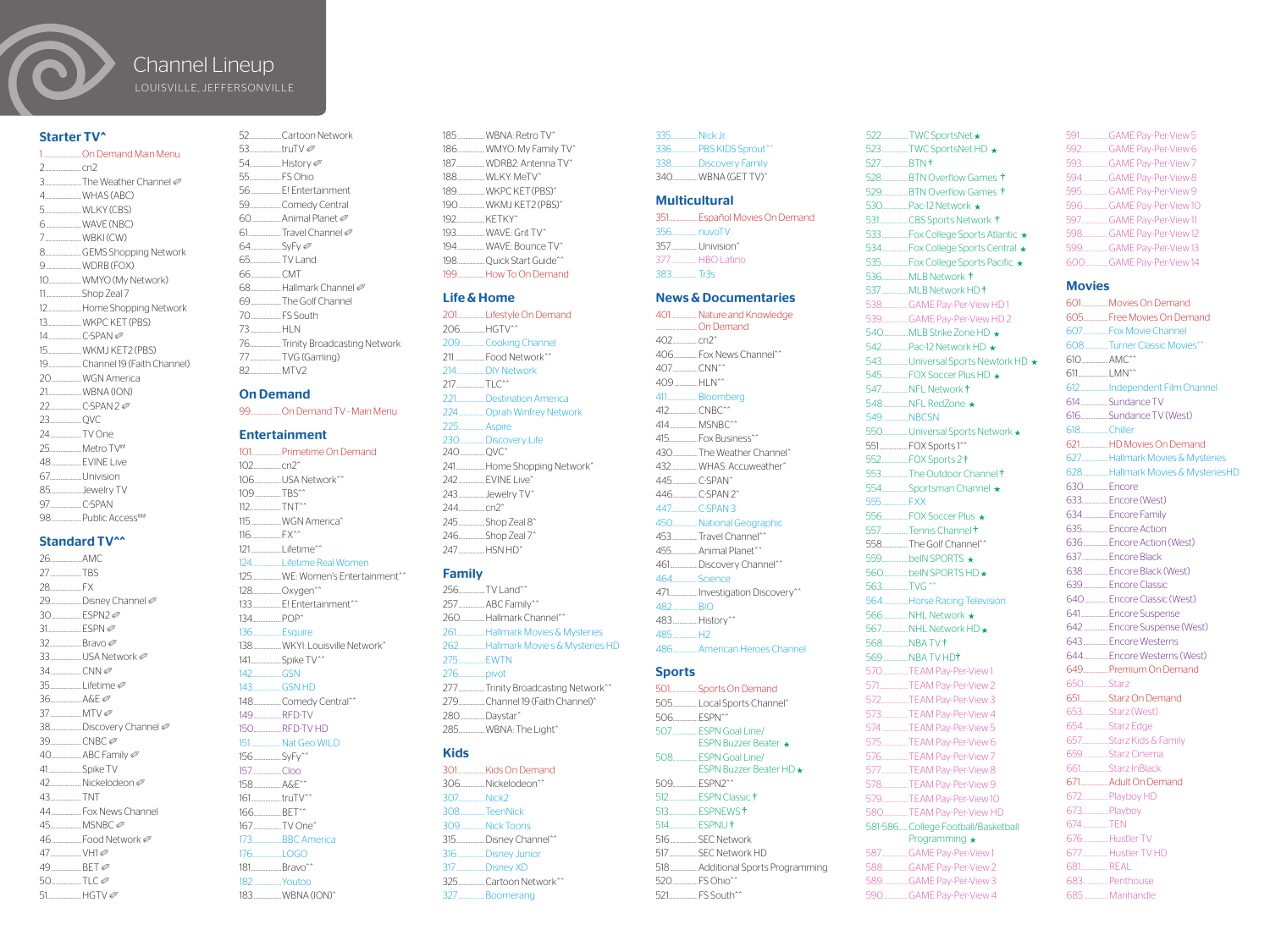

## Channel Lineup LOUISVILLE, JEFFERSONVILLE

### Starter TV^

1.............................On Demand Main Menu 2............................cn2 3. The Weather Channel Ø 4............................WHAS (ABC) 5............................WLKY (CBS) 6...........................WAVE (NBC) 7. WBKI (CW) 8............................GEMS Shopping Network 9...........................WDRB (FOX) 10.........................WMYO (My Network) 11...........................Shop Zeal 7 12..........................Home Shopping Network 13..........................WKPC KET (PBS) 14.........................C-SPAN ✐ 15..........................WKMJ KET2 (PBS) 19.........................Channel 19 (Faith Channel) 20.......................WGN America 21. WRNA (ION) 22........................C-SPAN 2 ✐ 23........................QVC 24...................TV One 25........................Metro TV## 48.......................EVINE Live 67........................Univision 85........................Jewelry TV 97. C-SPAN 98.......................Public Access###

## Standard TV^^

26........................AMC 27........................TBS 28........................FX 29......................Disney Channel 30.......................ESPN2 ✐ 31. FSPN Ø 32........................Bravo ✐ 33........................USA Network ✐  $34$  CNN  $\oslash$ 35........................Lifetime ✐ 36........................A&E ✐ 37........................MTV ✐ 38. Discovery Channel 39. CNBC *©* 40.......................ABC Family ✐ 41.........................Spike TV 42...................Nickelodeon Ø 43........................TNT 44.......................Fox News Channel 45........................MSNBC ✐ 46. Food Network Ø 47........................VH1 ✐ 49.  $BFT \oslash$  $50$  TIC $\emptyset$ 51..........................HGTV ✐

|                  | 52Cartoon Network              |
|------------------|--------------------------------|
| 53truTV <i>⊘</i> |                                |
|                  | 54. History                    |
|                  |                                |
|                  |                                |
|                  | 59Comedy Central               |
|                  | 60 _______ Animal Planet ∅     |
|                  | 61 Travel Channel              |
|                  |                                |
| 65 TV Land       |                                |
| 66. CMT          |                                |
|                  | 68 …………Hallmark Channel ⊘      |
|                  | 69The Golf Channel             |
|                  |                                |
| 73. HIN          |                                |
|                  | 76Trinity Broadcasting Network |
|                  | 77TVG (Gaming)                 |
|                  |                                |
|                  |                                |

## On Demand

99.......................On Demand TV - Main Menu

## Entertainment

101......................Primetime On Demand  $102 \qquad \qquad cm2^{\circ}$ 106....................USA Network^^ 109. TBS^^ 112........................TNT^^ 115.......................WGN America^ 116.......................FX^^ 121.......................Lifetime^^ 124......................Lifetime Real Women 125......................WE: Women's Entertainment^^ 128......................Oxygen^^ 133......................E! Entertainment^^ 134. POP<sup>^</sup> 136.....................Esquire 138.....................WKYI: Louisville Network^ 141. Spike TV^^ 142......................GSN 143......................GSN HD 148........................Comedy Central^^ 149.....................RFD-TV 150.....................RFD-TV HD 151.......................Nat Geo WILD 156.....................SyFy^^ 157......................Cloo 158.....................A&E^^ 161.......................truTV^^ 166. BFT^^ 167.....................TV One^ 173......................BBC America 176......................LOGO 181.......................Bravo^^ 182.....................Youtoo

183.....................WBNA (ION)^

185.....................WBNA: Retro TV^ 186.....................WMYO: My Family TV^ 187. WDRB2: Antenna TV^ 188.....................WLKY: MeTV^ 189.....................WKPC KET(PBS)^ 190....................WKMJ KET2 (PBS)^ 192......................KETKY^ 193......................WAVE: Grit TV^ 194.....................WAVE: Bounce TV^ 198.....................Quick Start Guide^^ 199. How To On Demand

#### Life & Home

201.....................Lifestyle On Demand 206...................HGTV^^ 209...................Cooking Channel 211.......................Food Network^^ 214.....................DIY Network 217. TLC<sup>^^</sup> 221......................Destination America 224....................Oprah Winfrey Network 225. Aspire 230...................Discovery Life 240..................OVC^ 241......................Home Shopping Network^ 242....................EVINE Live^ 243....................Jewelry TV^ 244....................cn2^ 245....................Shop Zeal 8^ 246....................Shop Zeal 7^ 247. HSN HD<sup>^</sup>

## Family

256..............TV Land^^ 257....................ABC Family^^ 260........................Hallmark Channel^^ 261.....................Hallmark Movies & Mysteries 262....................Hallmark Movie s & Mysteries HD 275. **EWTN** 276....................pivot 277....................Trinity Broadcasting Network^^ 279.........................Channel 19 (Faith Channel)^ 280...................Daystar^ 285....................WBNA: The Light^

## Kids

301.....................Kids On Demand 306. Nickelodeon<sup>^^</sup> 307. Nick2 308...................TeenNick 309...................Nick Toons 315......................Disney Channel^^ 316.....................Disney Junior 317......................Disney XD 325....................Cartoon Network^^ 327....................Boomerang

335....................Nick Jr. 336....................PBS KIDS Sprout^^ 338....................Discovery Family 340...................WBNA (GET TV)^

#### **Multicultural**

351......................Español Movies On Demand 356....................nuvoTV 357. Univision^ 377. HBO Latino 383....................Tr3s

## News & Documentaries

401....................Nature and Knowledge ................................On Demand  $402$   $cm2<sup>o</sup>$ 406..................Fox News Channel^^ 407...................CNN^^ 409.................HLN^^ 411. **Bloomberg** 412. CNBC^^ 414.....................MSNBC^^ 415......................Fox Business^^ 430...................The Weather Channel^ 432. WHAS: Accuweather^ 445. C-SPAN^ 446. C-SPAN 2^ 447....................C-SPAN 3 450...................National Geographic 453. Travel Channel<sup>^^</sup> 455. Animal Planet^^ 461...................Discovery Channel^^ 464...................Science 471......................Investigation Discovery^^ 482...................BIO 483...................History^^ 485...................H2 486...................American Heroes Channel

## **Sports**

501.....................Sports On Demand 505...................Local Sports Channel^ 506. FSPN^^ 507...................ESPN Goal Line/ ESPN Buzzer Beater ★ 508...................ESPN Goal Line/ ESPN Buzzer Beater HD 509. FSPN2^^ 512......................ESPN Classic 513......................ESPNEWS 514. **FSPNU** 516. SEC Network 517......................SEC Network HD 518.....................Additional Sports Programming 520. FS Ohio<sup>^^</sup> 521......................FS South^^

522..................TWC SportsNet ★ 523....................TWC SportsNet HD 527. RTN † 528....................BTN Overflow Games 529. BTN Overflow Games the 530...................Pac-12 Network 531......................CBS Sports Network 533....................Fox College Sports Atlantic 534....................Fox College Sports Central 535....................Fox College Sports Pacific 536. MLB Network † 537....................MLB Network HD 538....................GAME Pay-Per-View HD 1 539....................GAME Pay-Per-View HD 2 540...................MLB Strike Zone HD 542. Pac-12 Network HD \* 543.....................Universal Sports Newtork HD \* 545....................FOX Soccer Plus HD 547....................NFL Network 548...................NFL RedZone 549. NRCSN 550.................Universal Sports Network \* 551......................FOX Sports 1^^ 552....................FOX Sports 2 553. The Outdoor Channel \* 554. Sportsman Channel \* 555....................FXX 556....................FOX Soccer Plus 557..................Tennis Channel † 558.................The Golf Channel^^ 559....................beIN SPORTS 560...................beIN SPORTS HD 563..................TVG ^^ 564...................Horse Racing Television 566...................NHL Network 567....................NHL Network HD 568. NBA TV + 569...................NBA TV HD 570...................TEAM Pay-Per-View 1 571......................TEAM Pay-Per-View 2 572....................TEAM Pay-Per-View 3 573. TFAM Pay-Per-View 4 574....................TEAM Pay-Per-View 5 575....................TEAM Pay-Per-View 6 576....................TEAM Pay-Per-View 7 577....................TEAM Pay-Per-View 8 578. TFAM Pay-Per-View 9 579....................TEAM Pay-Per-View 10 580...................TEAM Pay-Per-View HD 581-586.......College Football/Basketball Programming  $\star$ 587....................GAME Pay-Per-View 1 588...................GAME Pay-Per-View 2 589...................GAME Pay-Per-View 3

590...................GAME Pay-Per-View 4

591.....................GAME Pay-Per-View 5 592....................GAME Pay-Per-View 6 593....................GAME Pay-Per-View 7 594...................GAME Pay-Per-View 8 595....................GAME Pay-Per-View 9 596...................GAME Pay-Per-View 10 597....................GAME Pay-Per-View 11 598...................GAME Pay-Per-View 12 599...................GAME Pay-Per-View 13 600.................GAME Pay-Per-View 14

601....................Movies On Demand

## **Movies**

605...................Free Movies On Demand 607...................Fox Movie Channel 608..................Turner Classic Movies^^ 610. AMC^^ 611.......................LMN^^ 612.....................Independent Film Channel 614.....................Sundance TV 616.....................Sundance TV (West) 618. Chiller 621.....................HD Movies On Demand 627....................Hallmark Movies & Mysteries 628...................Hallmark Movies & MysteriesHD 630. Encore 633....................Encore (West) 634...................Encore Family 635....................Encore Action 636...................Encore Action (West) 637....................Encore Black 638...................Encore Black (West) 639...................Encore Classic 640..................Encore Classic (West) 641.....................Encore Suspense 642...................Encore Suspense (West) 643...................Encore Westerns 644...................Encore Westerns (West) 649...................Premium On Demand 650. Starz 651.....................Starz On Demand 653....................Starz (West) 654...................Starz Edge 657....................Starz Kids & Family 659...................Starz Cinema 661.....................Starz InBlack 671.....................Adult On Demand 672....................Playboy HD 673....................Playboy 674....................TEN 676...................Hustler TV 677....................Hustler TV HD 681.....................REAL 683...................Penthouse 685...................Manhandle